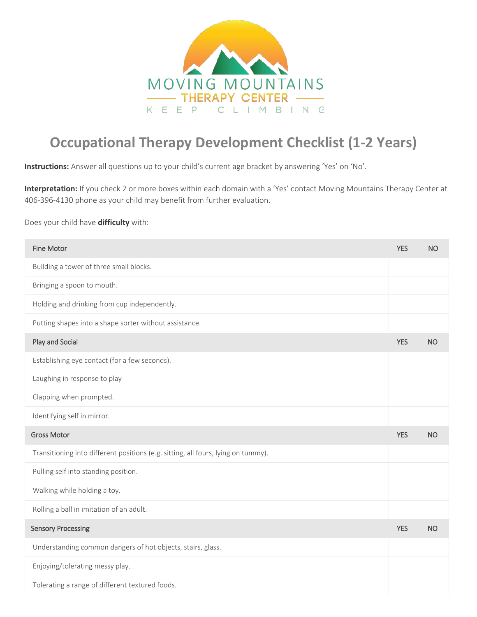

## **Occupational Therapy Development Checklist (1-2 Years)**

**Instructions:** Answer all questions up to your child's current age bracket by answering 'Yes' on 'No'.

**Interpretation:** If you check 2 or more boxes within each domain with a 'Yes' contact Moving Mountains Therapy Center at 406-396-4130 phone as your child may benefit from further evaluation.

## Does your child have **difficulty** with:

| <b>Fine Motor</b>                                                                 | <b>YES</b> | <b>NO</b> |
|-----------------------------------------------------------------------------------|------------|-----------|
| Building a tower of three small blocks.                                           |            |           |
| Bringing a spoon to mouth.                                                        |            |           |
| Holding and drinking from cup independently.                                      |            |           |
| Putting shapes into a shape sorter without assistance.                            |            |           |
| Play and Social                                                                   | <b>YES</b> | <b>NO</b> |
| Establishing eye contact (for a few seconds).                                     |            |           |
| Laughing in response to play                                                      |            |           |
| Clapping when prompted.                                                           |            |           |
| Identifying self in mirror.                                                       |            |           |
| <b>Gross Motor</b>                                                                | <b>YES</b> | <b>NO</b> |
| Transitioning into different positions (e.g. sitting, all fours, lying on tummy). |            |           |
| Pulling self into standing position.                                              |            |           |
|                                                                                   |            |           |
| Walking while holding a toy.                                                      |            |           |
| Rolling a ball in imitation of an adult.                                          |            |           |
| <b>Sensory Processing</b>                                                         | <b>YES</b> | <b>NO</b> |
| Understanding common dangers of hot objects, stairs, glass.                       |            |           |
| Enjoying/tolerating messy play.                                                   |            |           |